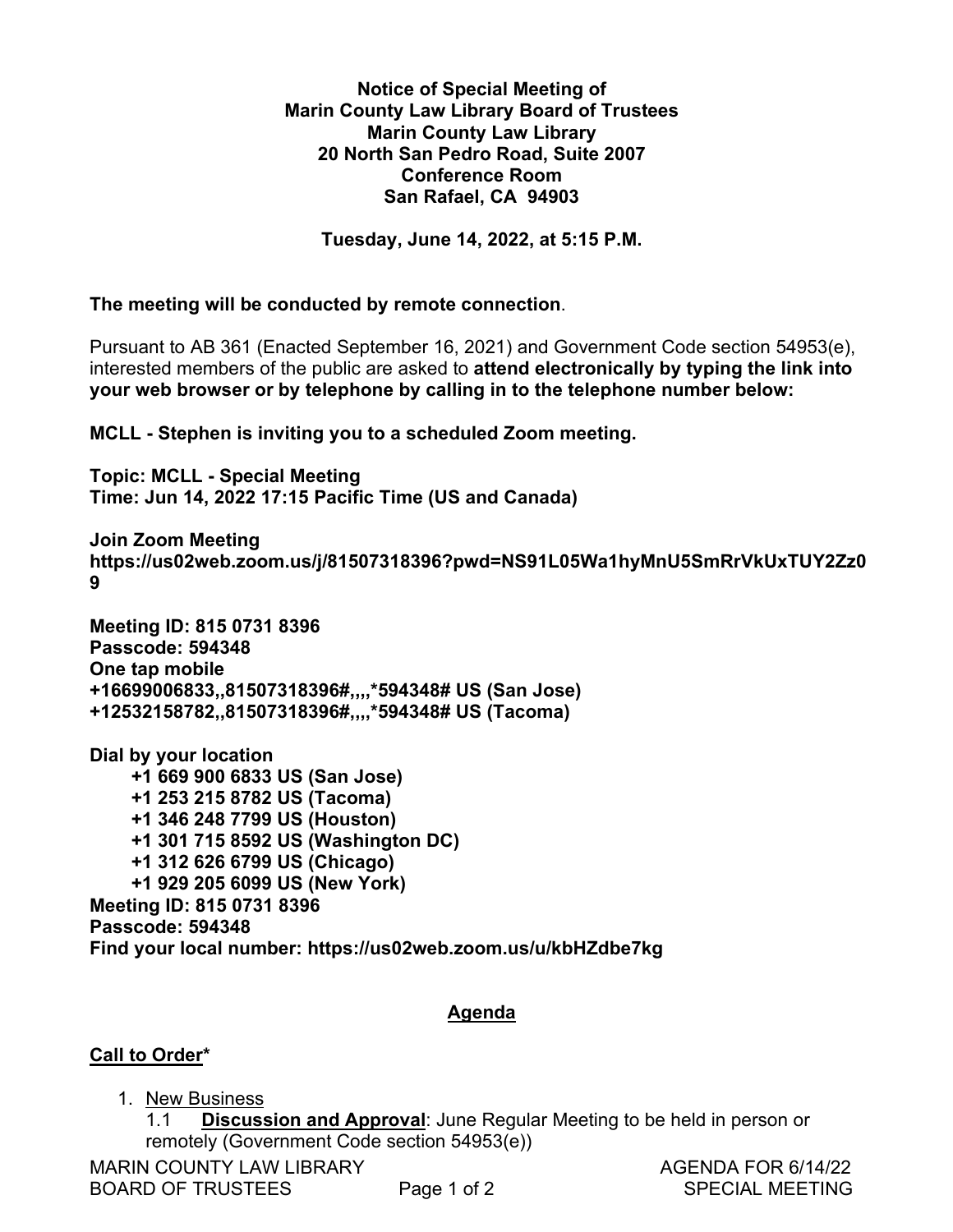## **Notice of Special Meeting of**  Notice of Special Meeting of **Marin County Law Library Board of Trustees**  Marin County Law Library Board of Trustees **Marin County Law Library**  Marin County Law Library **20 North San Pedro Road, Suite 2007**  20 North San Pedro Road, Suite 2007 **Conference Room**  Conference Room **San Rafael, CA 94903**  San Rafael, CA 94903

**Tuesday, June 14, 2022, at 5:15 P.M.**  Tuesday, June 14, 2022, at 5:15 P.M.

**The meeting will be conducted by remote connection**. The meeting will be conducted by remote connection.

Pursuant to AB 361 (Enacted September 16, 2021) and Government Code section 54953(e), Pursuant to AB 361 (Enacted September 16, 2021) and Government Code section 54953(e), interested members of the public are asked to **attend electronically by typing the link into**  interested members of the public are asked to attend electronically by typing the link into **your web browser or by telephone by calling in to the telephone number below:**  your web browser or by telephone by calling in to the telephone number below:

**MCLL - Stephen is inviting you to a scheduled Zoom meeting.**  MCLL - Stephen is inviting you to a scheduled Zoom meeting.

**Topic: MCLL - Special Meeting**  Topic: MCLL - Special Meeting **Time: Jun 14, 2022 17:15 Pacific Time (US and Canada)**  Time: Jun 14, 2022 17:15 Pacific Time (US and Canada)

**Join Zoom Meeting**  Join Zoom Meeting **https://us02web.zoom.us/j/81507318396?pwd=NS91L05Wa1hyMnU5SmRrVkUxTUY2Zz0** https://usO2web.zoom.us/j/81507318396 ?pwd=NS91L05WathyMnU5SmRrVkUxTUY2Zz0 **9**  9

**Meeting ID: 815 0731 8396**  Meeting ID: 815 0731 8396 **Passcode: 594348**  Passcode: 594348 **One tap mobile**  One tap mobile **+16699006833,,81507318396#,,,,\*594348# US (San Jose)**  +16699006833, ,81507318396#,,,,\*594348# US (San Jose) **+12532158782,,81507318396#,,,,\*594348# US (Tacoma)**  +12532158782,,81507318396#,,,,\*594348# US (Tacoma)

**Dial by your location**  Dial by your location  **+1 669 900 6833 US (San Jose)**  +1 669 900 6833 US (San Jose)  **+1 253 215 8782 US (Tacoma)**  +1 253 215 8782 US (Tacoma)  **+1 346 248 7799 US (Houston)**  +1 346 248 7799 US (Houston)  **+1 301 715 8592 US (Washington DC)**  +1 301 715 8592 US (Washington DC)  **+1 312 626 6799 US (Chicago)**  +1 312 626 6799 US (Chicago)  **+1 929 205 6099 US (New York)**  +1 929 205 6099 US (New York) **Meeting ID: 815 0731 8396**  Meeting ID: 815 0731 8396 **Passcode: 594348**  Passcode: 594348 **Find your local number: https://us02web.zoom.us/u/kbHZdbe7kg**  Find your local number: https://usO2web.zoom.us/u/kbHZdbe7kg 3,,81507318396#,,,,\*59434<br>2,,81507318396#,,,,\*59434<br>location<br>00 6833 US (San Jose)<br>:15 8782 US (Tacoma)<br>:48 7799 US (Houston)<br>15 8592 US (Washington)<br>:26 6799 US (Chicago)<br>:05 6099 US (New York)<br>315 0731 8396<br>94348<br>:al num

## **Agenda**  Agenda

## **Call to Order\***  Call to Order\* <u>Order</u><br>New Bu

1. New Business

1.1 **Discussion and Approval**: June Regular Meeting to be held in person or remotely (Government Code section 54953(e)) remotely (Government Code section 54953(e))

MARIN COUNTY LAW LIBRARY **AGENDA FOR 6/14/22** 

BOARD OF TRUSTEES Page 1 of 2 SPECIAL MEETING